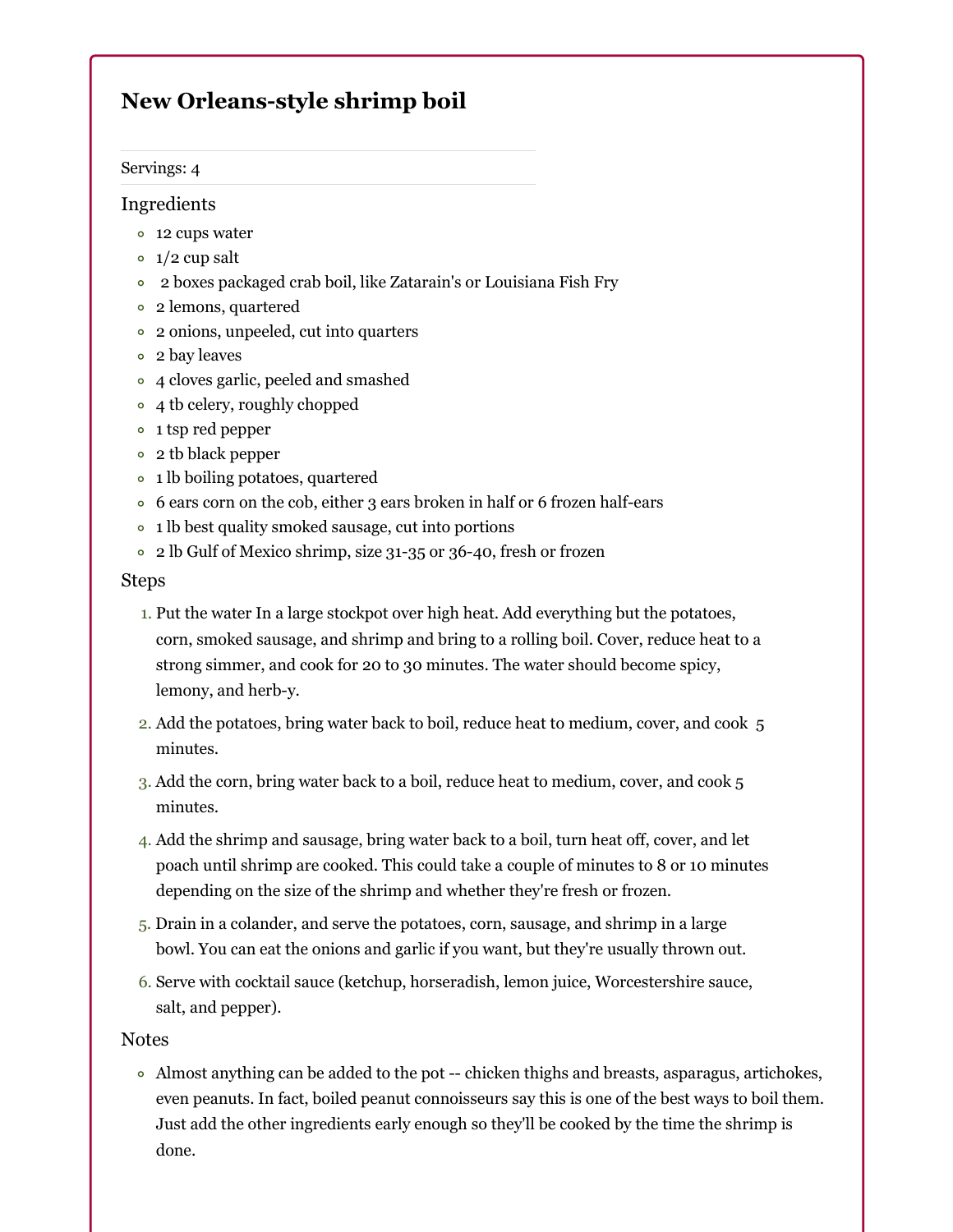# **New Orleans-style shrimp boil**

### Servings: 4

## Ingredients

- 12 cups water
- $\circ$  1/2 cup salt
- 2 boxes packaged crab boil, like Zatarain's or Louisiana Fish Fry
- 2 lemons, quartered
- 2 onions, unpeeled, cut into quarters
- 2 bay leaves
- 4 cloves garlic, peeled and smashed
- 4 th celery, roughly chopped
- 1 tsp red pepper
- 2 tb black pepper
- 1 lb boiling potatoes, quartered
- 6 ears corn on the cob, either 3 ears broken in half or 6 frozen half-ears
- 1 lb best quality smoked sausage, cut into portions
- 2 lb Gulf of Mexico shrimp, size 31-35 or 36-40, fresh or frozen

## Steps

- 1. Put the water In a large stockpot over high heat. Add everything but the potatoes, corn, smoked sausage, and shrimp and bring to a rolling boil. Cover, reduce heat to a strong simmer, and cook for 20 to 30 minutes. The water should become spicy, lemony, and herb-y.
- 2. Add the potatoes, bring water back to boil, reduce heat to medium, cover, and cook 5 minutes.
- 3. Add the corn, bring water back to a boil, reduce heat to medium, cover, and cook 5 minutes.
- 4. Add the shrimp and sausage, bring water back to a boil, turn heat off, cover, and let poach until shrimp are cooked. This could take a couple of minutes to 8 or 10 minutes depending on the size of the shrimp and whether they're fresh or frozen.
- 5. Drain in a colander, and serve the potatoes, corn, sausage, and shrimp in a large bowl. You can eat the onions and garlic if you want, but they're usually thrown out.
- 6. Serve with cocktail sauce (ketchup, horseradish, lemon juice, Worcestershire sauce, salt, and pepper).

## Notes

Almost anything can be added to the pot -- chicken thighs and breasts, asparagus, artichokes, even peanuts. In fact, boiled peanut connoisseurs say this is one of the best ways to boil them. Just add the other ingredients early enough so they'll be cooked by the time the shrimp is done.